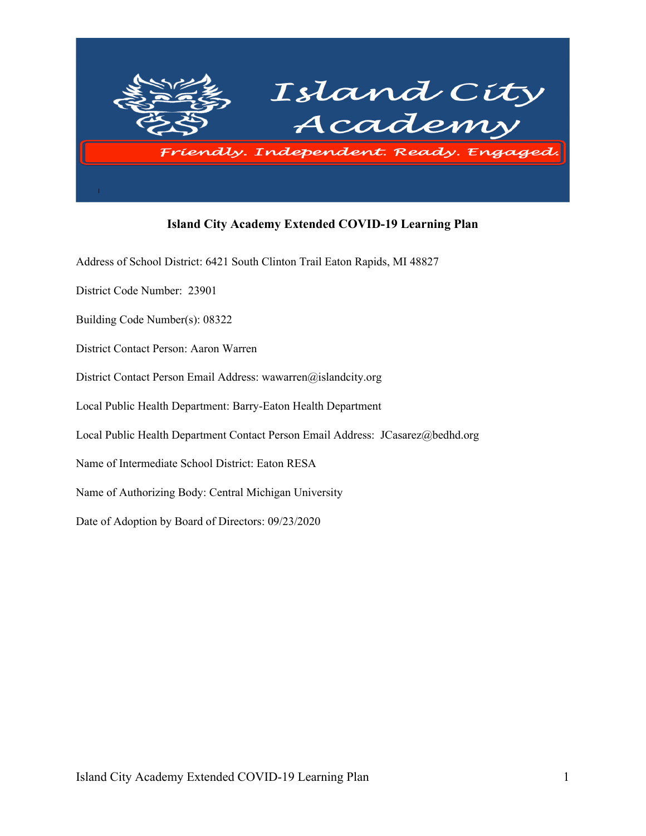

### **Island City Academy Extended COVID-19 Learning Plan**

Address of School District: 6421 South Clinton Trail Eaton Rapids, MI 48827

District Code Number: 23901

Building Code Number(s): 08322

District Contact Person: Aaron Warren

District Contact Person Email Address: wawarren@islandcity.org

Local Public Health Department: Barry-Eaton Health Department

Local Public Health Department Contact Person Email Address: JCasarez@bedhd.org

Name of Intermediate School District: Eaton RESA

Name of Authorizing Body: Central Michigan University

Date of Adoption by Board of Directors: 09/23/2020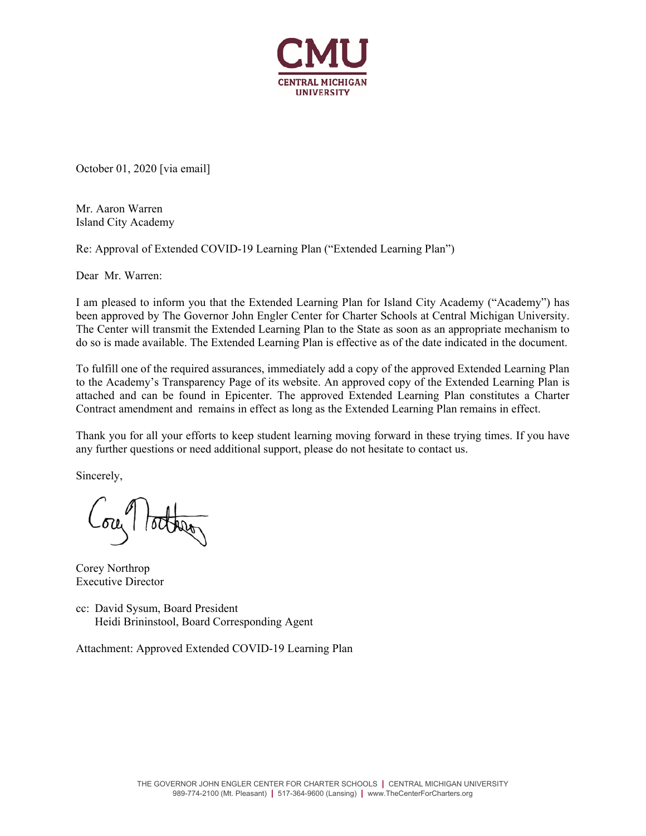

October 01, 2020 [via email]

Mr. Aaron Warren Island City Academy

Re: Approval of Extended COVID-19 Learning Plan ("Extended Learning Plan")

Dear Mr. Warren:

I am pleased to inform you that the Extended Learning Plan for Island City Academy ("Academy") has been approved by The Governor John Engler Center for Charter Schools at Central Michigan University. The Center will transmit the Extended Learning Plan to the State as soon as an appropriate mechanism to do so is made available. The Extended Learning Plan is effective as of the date indicated in the document.

To fulfill one of the required assurances, immediately add a copy of the approved Extended Learning Plan to the Academy's Transparency Page of its website. An approved copy of the Extended Learning Plan is attached and can be found in Epicenter. The approved Extended Learning Plan constitutes a Charter Contract amendment and remains in effect as long as the Extended Learning Plan remains in effect.

Thank you for all your efforts to keep student learning moving forward in these trying times. If you have any further questions or need additional support, please do not hesitate to contact us.

Sincerely,

ou lotter

Corey Northrop Executive Director

cc: David Sysum, Board President Heidi Brininstool, Board Corresponding Agent

Attachment: Approved Extended COVID-19 Learning Plan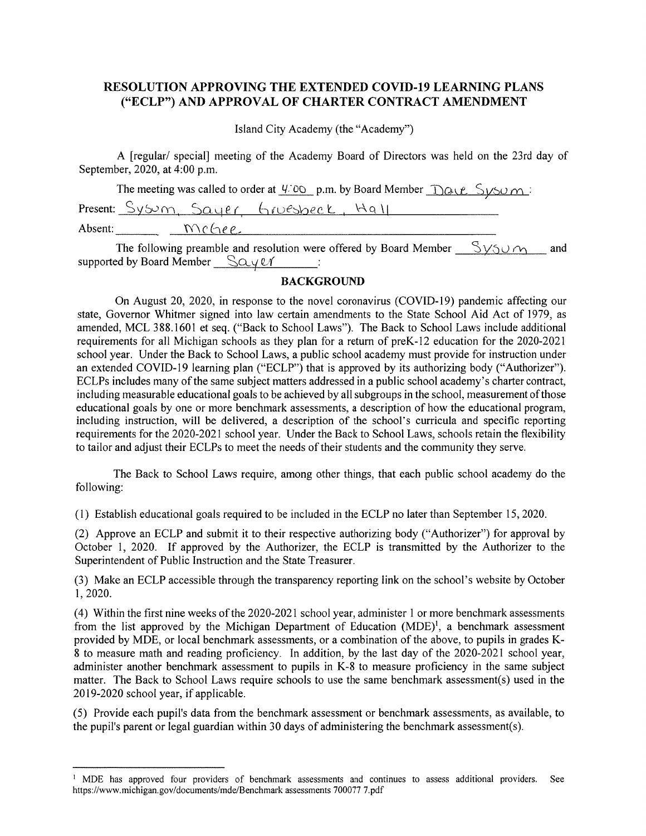### **RESOLUTION APPROVING THE EXTENDED COVID-19 LEARNING PLANS** ("ECLP") AND APPROVAL OF CHARTER CONTRACT AMENDMENT

Island City Academy (the "Academy")

A [regular/ special] meeting of the Academy Board of Directors was held on the 23rd day of September, 2020, at 4:00 p.m.

|         |       | The meeting was called to order at $\frac{4700}{9}$ p.m. by Board Member $\frac{100}{10}$ $\frac{2}{5}$ $\frac{100}{2}$ |
|---------|-------|-------------------------------------------------------------------------------------------------------------------------|
|         |       | Present: Sysum, Sayer Gruesbeck, Hall                                                                                   |
| Absent: | Mchep |                                                                                                                         |

The following preamble and resolution were offered by Board Member  $S_{V5U} \wedge \cdots$  and supported by Board Member  $\Box$   $\Box$   $\Box$   $\vee$   $\Box$   $\Box$ 

#### **BACKGROUND**

On August 20, 2020, in response to the novel coronavirus (COVID-19) pandemic affecting our state, Governor Whitmer signed into law certain amendments to the State School Aid Act of 1979, as amended, MCL 388.1601 et seq. ("Back to School Laws"). The Back to School Laws include additional requirements for all Michigan schools as they plan for a return of preK-12 education for the 2020-2021 school year. Under the Back to School Laws, a public school academy must provide for instruction under an extended COVID-19 learning plan ("ECLP") that is approved by its authorizing body ("Authorizer"). ECLPs includes many of the same subject matters addressed in a public school academy's charter contract, including measurable educational goals to be achieved by all subgroups in the school, measurement of those educational goals by one or more benchmark assessments, a description of how the educational program, including instruction, will be delivered, a description of the school's curricula and specific reporting requirements for the 2020-2021 school year. Under the Back to School Laws, schools retain the flexibility to tailor and adjust their ECLPs to meet the needs of their students and the community they serve.

The Back to School Laws require, among other things, that each public school academy do the following:

(1) Establish educational goals required to be included in the ECLP no later than September 15, 2020.

(2) Approve an ECLP and submit it to their respective authorizing body ("Authorizer") for approval by October 1, 2020. If approved by the Authorizer, the ECLP is transmitted by the Authorizer to the Superintendent of Public Instruction and the State Treasurer.

(3) Make an ECLP accessible through the transparency reporting link on the school's website by October 1, 2020.

(4) Within the first nine weeks of the 2020-2021 school year, administer 1 or more benchmark assessments from the list approved by the Michigan Department of Education  $(MDE)^1$ , a benchmark assessment provided by MDE, or local benchmark assessments, or a combination of the above, to pupils in grades K-8 to measure math and reading proficiency. In addition, by the last day of the 2020-2021 school year, administer another benchmark assessment to pupils in K-8 to measure proficiency in the same subject matter. The Back to School Laws require schools to use the same benchmark assessment(s) used in the 2019-2020 school year, if applicable.

(5) Provide each pupil's data from the benchmark assessment or benchmark assessments, as available, to the pupil's parent or legal guardian within 30 days of administering the benchmark assessment(s).

<sup>&</sup>lt;sup>1</sup> MDE has approved four providers of benchmark assessments and continues to assess additional providers. **See** https://www.michigan.gov/documents/mde/Benchmark assessments 700077 7.pdf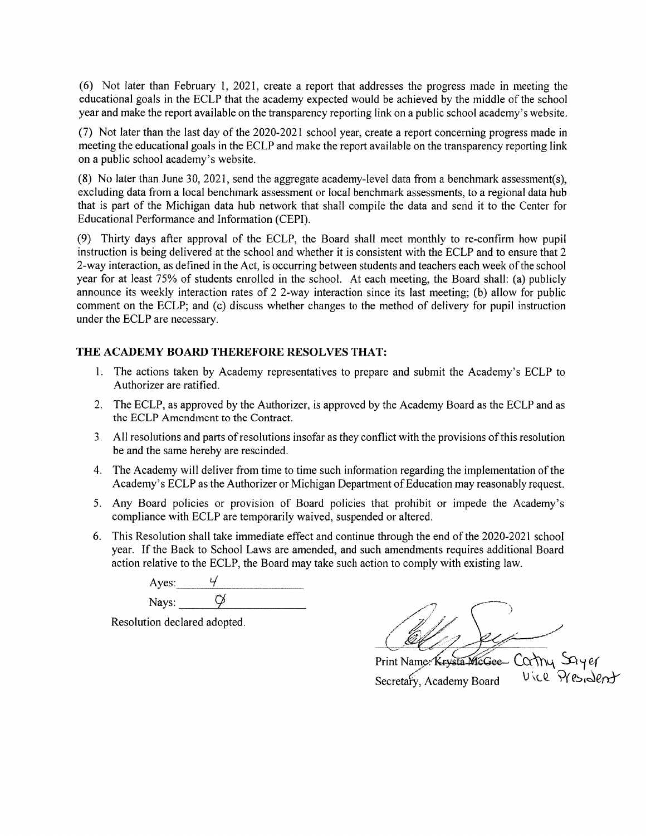(6) Not later than February 1, 2021, create a report that addresses the progress made in meeting the educational goals in the ECLP that the academy expected would be achieved by the middle of the school year and make the report available on the transparency reporting link on a public school academy's website.

(7) Not later than the last day of the 2020-2021 school year, create a report concerning progress made in meeting the educational goals in the ECLP and make the report available on the transparency reporting link on a public school academy's website.

(8) No later than June 30, 2021, send the aggregate academy-level data from a benchmark assessment(s), excluding data from a local benchmark assessment or local benchmark assessments, to a regional data hub that is part of the Michigan data hub network that shall compile the data and send it to the Center for Educational Performance and Information (CEPI).

(9) Thirty days after approval of the ECLP, the Board shall meet monthly to re-confirm how pupil instruction is being delivered at the school and whether it is consistent with the ECLP and to ensure that 2 2-way interaction, as defined in the Act, is occurring between students and teachers each week of the school year for at least 75% of students enrolled in the school. At each meeting, the Board shall: (a) publicly announce its weekly interaction rates of 2 2-way interaction since its last meeting; (b) allow for public comment on the ECLP; and (c) discuss whether changes to the method of delivery for pupil instruction under the ECLP are necessary.

#### THE ACADEMY BOARD THEREFORE RESOLVES THAT:

- 1. The actions taken by Academy representatives to prepare and submit the Academy's ECLP to Authorizer are ratified.
- 2. The ECLP, as approved by the Authorizer, is approved by the Academy Board as the ECLP and as the ECLP Amendment to the Contract.
- 3. All resolutions and parts of resolutions insofar as they conflict with the provisions of this resolution be and the same hereby are rescinded.
- 4. The Academy will deliver from time to time such information regarding the implementation of the Academy's ECLP as the Authorizer or Michigan Department of Education may reasonably request.
- 5. Any Board policies or provision of Board policies that prohibit or impede the Academy's compliance with ECLP are temporarily waived, suspended or altered.
- 6. This Resolution shall take immediate effect and continue through the end of the 2020-2021 school year. If the Back to School Laws are amended, and such amendments requires additional Board action relative to the ECLP, the Board may take such action to comply with existing law.

Ayes:  $\circlearrowleft$ Nays:

Resolution declared adopted.

Print Name: Krysta McGee Carmy Sayer Secretary, Academy Board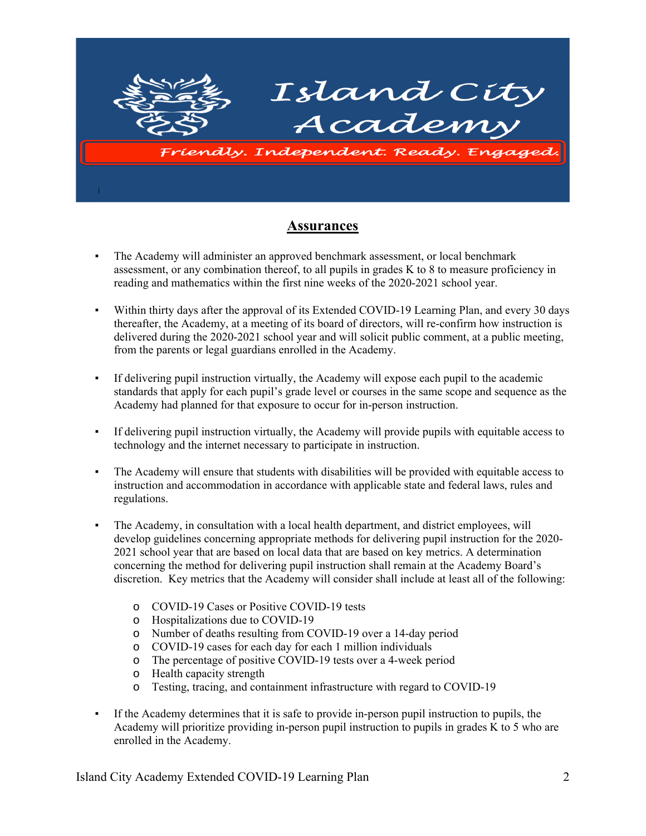

## **Assurances**

- The Academy will administer an approved benchmark assessment, or local benchmark assessment, or any combination thereof, to all pupils in grades K to 8 to measure proficiency in reading and mathematics within the first nine weeks of the 2020-2021 school year.
- Within thirty days after the approval of its Extended COVID-19 Learning Plan, and every 30 days thereafter, the Academy, at a meeting of its board of directors, will re-confirm how instruction is delivered during the 2020-2021 school year and will solicit public comment, at a public meeting, from the parents or legal guardians enrolled in the Academy.
- If delivering pupil instruction virtually, the Academy will expose each pupil to the academic standards that apply for each pupil's grade level or courses in the same scope and sequence as the Academy had planned for that exposure to occur for in-person instruction.
- If delivering pupil instruction virtually, the Academy will provide pupils with equitable access to technology and the internet necessary to participate in instruction.
- The Academy will ensure that students with disabilities will be provided with equitable access to instruction and accommodation in accordance with applicable state and federal laws, rules and regulations.
- The Academy, in consultation with a local health department, and district employees, will develop guidelines concerning appropriate methods for delivering pupil instruction for the 2020- 2021 school year that are based on local data that are based on key metrics. A determination concerning the method for delivering pupil instruction shall remain at the Academy Board's discretion. Key metrics that the Academy will consider shall include at least all of the following:
	- o COVID-19 Cases or Positive COVID-19 tests
	- o Hospitalizations due to COVID-19
	- o Number of deaths resulting from COVID-19 over a 14-day period
	- o COVID-19 cases for each day for each 1 million individuals
	- o The percentage of positive COVID-19 tests over a 4-week period
	- o Health capacity strength
	- o Testing, tracing, and containment infrastructure with regard to COVID-19
- If the Academy determines that it is safe to provide in-person pupil instruction to pupils, the Academy will prioritize providing in-person pupil instruction to pupils in grades K to 5 who are enrolled in the Academy.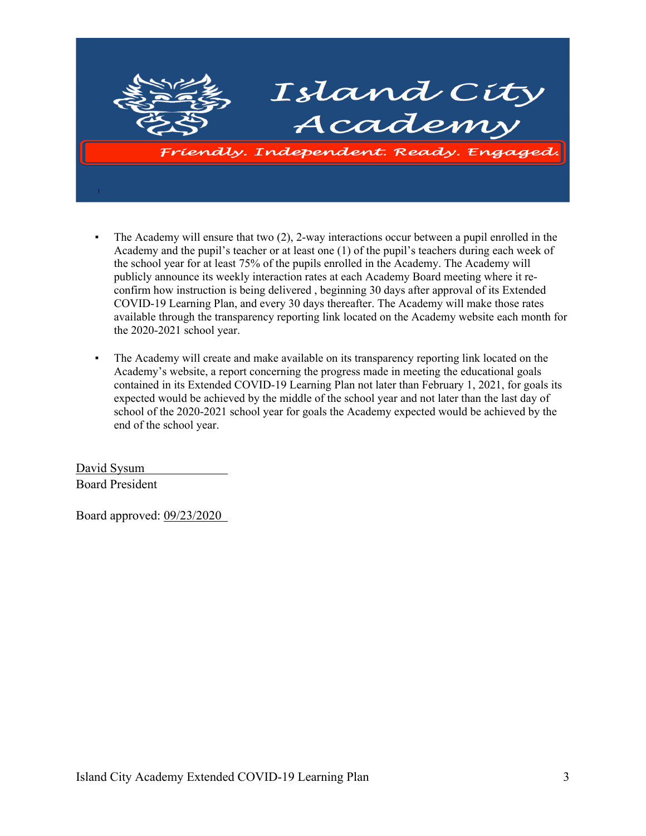

- The Academy will ensure that two  $(2)$ , 2-way interactions occur between a pupil enrolled in the Academy and the pupil's teacher or at least one (1) of the pupil's teachers during each week of the school year for at least 75% of the pupils enrolled in the Academy. The Academy will publicly announce its weekly interaction rates at each Academy Board meeting where it reconfirm how instruction is being delivered , beginning 30 days after approval of its Extended COVID-19 Learning Plan, and every 30 days thereafter. The Academy will make those rates available through the transparency reporting link located on the Academy website each month for the 2020-2021 school year.
- The Academy will create and make available on its transparency reporting link located on the Academy's website, a report concerning the progress made in meeting the educational goals contained in its Extended COVID-19 Learning Plan not later than February 1, 2021, for goals its expected would be achieved by the middle of the school year and not later than the last day of school of the 2020-2021 school year for goals the Academy expected would be achieved by the end of the school year.

David Sysum Board President

Board approved: 09/23/2020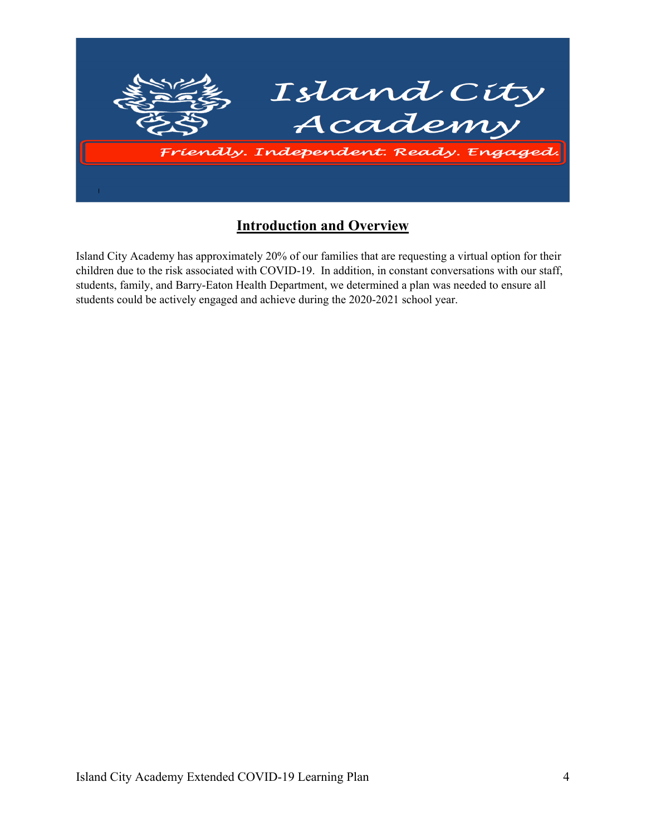

## **Introduction and Overview**

Island City Academy has approximately 20% of our families that are requesting a virtual option for their children due to the risk associated with COVID-19. In addition, in constant conversations with our staff, students, family, and Barry-Eaton Health Department, we determined a plan was needed to ensure all students could be actively engaged and achieve during the 2020-2021 school year.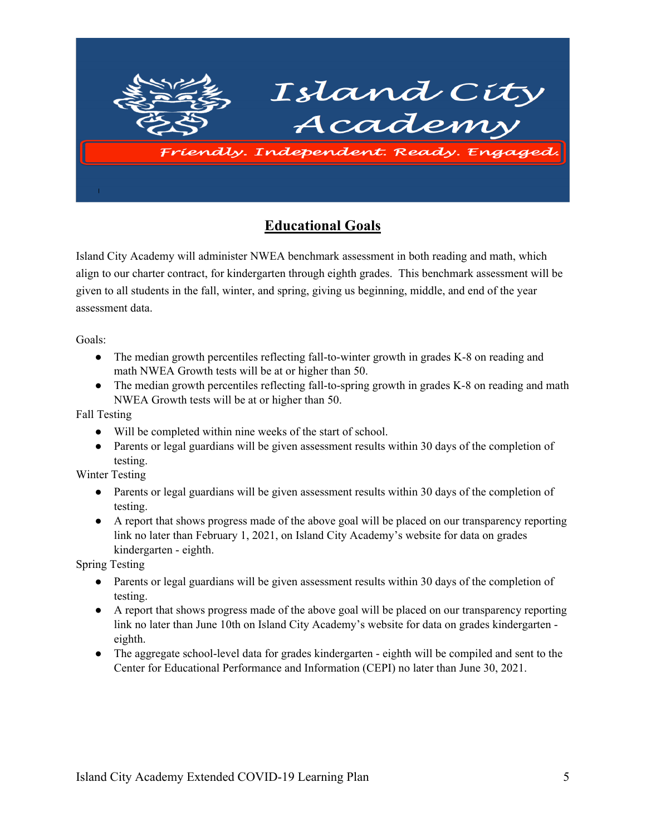

# **Educational Goals**

Island City Academy will administer NWEA benchmark assessment in both reading and math, which align to our charter contract, for kindergarten through eighth grades. This benchmark assessment will be given to all students in the fall, winter, and spring, giving us beginning, middle, and end of the year assessment data.

Goals:

- The median growth percentiles reflecting fall-to-winter growth in grades K-8 on reading and math NWEA Growth tests will be at or higher than 50.
- The median growth percentiles reflecting fall-to-spring growth in grades K-8 on reading and math NWEA Growth tests will be at or higher than 50.

Fall Testing

- Will be completed within nine weeks of the start of school.
- Parents or legal guardians will be given assessment results within 30 days of the completion of testing.

Winter Testing

- Parents or legal guardians will be given assessment results within 30 days of the completion of testing.
- A report that shows progress made of the above goal will be placed on our transparency reporting link no later than February 1, 2021, on Island City Academy's website for data on grades kindergarten - eighth.

Spring Testing

- Parents or legal guardians will be given assessment results within 30 days of the completion of testing.
- A report that shows progress made of the above goal will be placed on our transparency reporting link no later than June 10th on Island City Academy's website for data on grades kindergarten eighth.
- The aggregate school-level data for grades kindergarten eighth will be compiled and sent to the Center for Educational Performance and Information (CEPI) no later than June 30, 2021.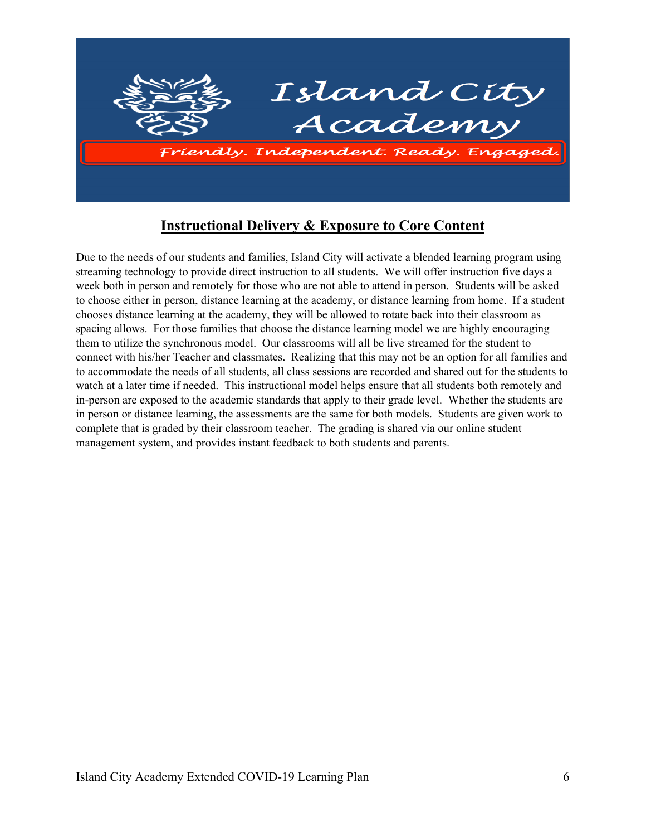

# **Instructional Delivery & Exposure to Core Content**

Due to the needs of our students and families, Island City will activate a blended learning program using streaming technology to provide direct instruction to all students. We will offer instruction five days a week both in person and remotely for those who are not able to attend in person. Students will be asked to choose either in person, distance learning at the academy, or distance learning from home. If a student chooses distance learning at the academy, they will be allowed to rotate back into their classroom as spacing allows. For those families that choose the distance learning model we are highly encouraging them to utilize the synchronous model. Our classrooms will all be live streamed for the student to connect with his/her Teacher and classmates. Realizing that this may not be an option for all families and to accommodate the needs of all students, all class sessions are recorded and shared out for the students to watch at a later time if needed. This instructional model helps ensure that all students both remotely and in-person are exposed to the academic standards that apply to their grade level. Whether the students are in person or distance learning, the assessments are the same for both models. Students are given work to complete that is graded by their classroom teacher. The grading is shared via our online student management system, and provides instant feedback to both students and parents.